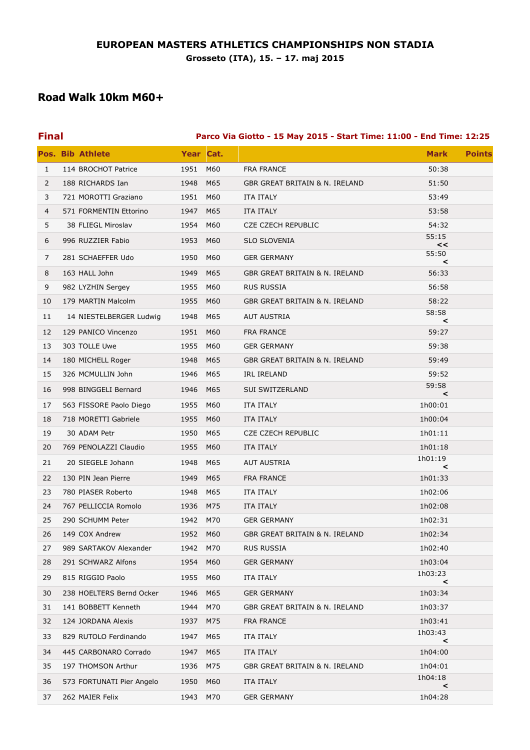## **Road Walk 10km M60+**

| <b>Final</b> |                           | Parco Via Giotto - 15 May 2015 - Start Time: 11:00 - End Time: 12:25 |           |                                |                              |  |
|--------------|---------------------------|----------------------------------------------------------------------|-----------|--------------------------------|------------------------------|--|
|              | <b>Pos. Bib Athlete</b>   |                                                                      | Year Cat. |                                | <b>Mark</b><br><b>Points</b> |  |
| $\mathbf{1}$ | 114 BROCHOT Patrice       | 1951 M60                                                             |           | <b>FRA FRANCE</b>              | 50:38                        |  |
| 2            | 188 RICHARDS Ian          | 1948                                                                 | M65       | GBR GREAT BRITAIN & N. IRELAND | 51:50                        |  |
| 3            | 721 MOROTTI Graziano      | 1951                                                                 | M60       | <b>ITA ITALY</b>               | 53:49                        |  |
| 4            | 571 FORMENTIN Ettorino    | 1947                                                                 | M65       | ITA ITALY                      | 53:58                        |  |
| 5            | 38 FLIEGL Miroslav        | 1954                                                                 | M60       | <b>CZE CZECH REPUBLIC</b>      | 54:32                        |  |
| 6            | 996 RUZZIER Fabio         | 1953                                                                 | M60       | <b>SLO SLOVENIA</b>            | 55:15<br><<                  |  |
| 7            | 281 SCHAEFFER Udo         | 1950                                                                 | M60       | <b>GER GERMANY</b>             | 55:50<br>$\prec$             |  |
| 8            | 163 HALL John             | 1949                                                                 | M65       | GBR GREAT BRITAIN & N. IRELAND | 56:33                        |  |
| 9            | 982 LYZHIN Sergey         | 1955                                                                 | M60       | <b>RUS RUSSIA</b>              | 56:58                        |  |
| 10           | 179 MARTIN Malcolm        | 1955                                                                 | M60       | GBR GREAT BRITAIN & N. IRELAND | 58:22                        |  |
| 11           | 14 NIESTELBERGER Ludwig   | 1948                                                                 | M65       | <b>AUT AUSTRIA</b>             | 58:58<br>$\prec$             |  |
| 12           | 129 PANICO Vincenzo       | 1951                                                                 | M60       | <b>FRA FRANCE</b>              | 59:27                        |  |
| 13           | 303 TOLLE Uwe             | 1955                                                                 | M60       | <b>GER GERMANY</b>             | 59:38                        |  |
| 14           | 180 MICHELL Roger         | 1948                                                                 | M65       | GBR GREAT BRITAIN & N. IRELAND | 59:49                        |  |
| 15           | 326 MCMULLIN John         | 1946                                                                 | M65       | IRL IRELAND                    | 59:52                        |  |
| 16           | 998 BINGGELI Bernard      | 1946                                                                 | M65       | <b>SUI SWITZERLAND</b>         | 59:58<br>$\prec$             |  |
| 17           | 563 FISSORE Paolo Diego   | 1955                                                                 | M60       | ITA ITALY                      | 1h00:01                      |  |
| 18           | 718 MORETTI Gabriele      | 1955                                                                 | M60       | <b>ITA ITALY</b>               | 1h00:04                      |  |
| 19           | 30 ADAM Petr              | 1950                                                                 | M65       | <b>CZE CZECH REPUBLIC</b>      | 1h01:11                      |  |
| 20           | 769 PENOLAZZI Claudio     | 1955                                                                 | M60       | ITA ITALY                      | 1h01:18                      |  |
| 21           | 20 SIEGELE Johann         | 1948                                                                 | M65       | AUT AUSTRIA                    | 1h01:19<br>$\prec$           |  |
| 22           | 130 PIN Jean Pierre       | 1949                                                                 | M65       | <b>FRA FRANCE</b>              | 1h01:33                      |  |
| 23           | 780 PIASER Roberto        | 1948                                                                 | M65       | <b>ITA ITALY</b>               | 1h02:06                      |  |
| 24           | 767 PELLICCIA Romolo      | 1936                                                                 | M75       | ITA ITALY                      | 1h02:08                      |  |
| 25           | 290 SCHUMM Peter          | 1942 M70                                                             |           | <b>GER GERMANY</b>             | 1h02:31                      |  |
| 26           | 149 COX Andrew            | 1952                                                                 | M60       | GBR GREAT BRITAIN & N. IRELAND | 1h02:34                      |  |
| 27           | 989 SARTAKOV Alexander    | 1942                                                                 | M70       | <b>RUS RUSSIA</b>              | 1h02:40                      |  |
| 28           | 291 SCHWARZ Alfons        | 1954                                                                 | M60       | <b>GER GERMANY</b>             | 1h03:04                      |  |
| 29           | 815 RIGGIO Paolo          | 1955                                                                 | M60       | <b>ITA ITALY</b>               | 1h03:23<br>$\prec$           |  |
| 30           | 238 HOELTERS Bernd Ocker  | 1946                                                                 | M65       | <b>GER GERMANY</b>             | 1h03:34                      |  |
| 31           | 141 BOBBETT Kenneth       | 1944                                                                 | M70       | GBR GREAT BRITAIN & N. IRELAND | 1h03:37                      |  |
| 32           | 124 JORDANA Alexis        | 1937                                                                 | M75       | <b>FRA FRANCE</b>              | 1h03:41                      |  |
| 33           | 829 RUTOLO Ferdinando     | 1947                                                                 | M65       | ITA ITALY                      | 1h03:43<br><                 |  |
| 34           | 445 CARBONARO Corrado     | 1947                                                                 | M65       | <b>ITA ITALY</b>               | 1h04:00                      |  |
| 35           | 197 THOMSON Arthur        | 1936                                                                 | M75       | GBR GREAT BRITAIN & N. IRELAND | 1h04:01                      |  |
| 36           | 573 FORTUNATI Pier Angelo | 1950                                                                 | M60       | ITA ITALY                      | 1h04:18<br>$\,<\,$           |  |
| 37           | 262 MAIER Felix           | 1943                                                                 | M70       | <b>GER GERMANY</b>             | 1h04:28                      |  |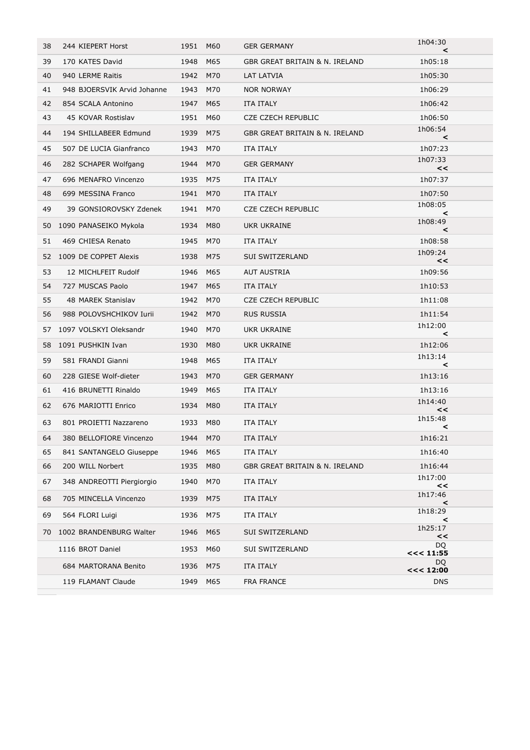| 38 | 244 KIEPERT Horst           | 1951 M60 |     | <b>GER GERMANY</b>             | 1h04:30<br>$\checkmark$ |  |
|----|-----------------------------|----------|-----|--------------------------------|-------------------------|--|
| 39 | 170 KATES David             | 1948     | M65 | GBR GREAT BRITAIN & N. IRELAND | 1h05:18                 |  |
| 40 | 940 LERME Raitis            | 1942     | M70 | LAT LATVIA                     | 1h05:30                 |  |
| 41 | 948 BJOERSVIK Arvid Johanne | 1943     | M70 | <b>NOR NORWAY</b>              | 1h06:29                 |  |
| 42 | 854 SCALA Antonino          | 1947     | M65 | ITA ITALY                      | 1h06:42                 |  |
| 43 | 45 KOVAR Rostislav          | 1951     | M60 | <b>CZE CZECH REPUBLIC</b>      | 1h06:50                 |  |
| 44 | 194 SHILLABEER Edmund       | 1939     | M75 | GBR GREAT BRITAIN & N. IRELAND | 1h06:54<br>$\,<\,$      |  |
| 45 | 507 DE LUCIA Gianfranco     | 1943     | M70 | <b>ITA ITALY</b>               | 1h07:23                 |  |
| 46 | 282 SCHAPER Wolfgang        | 1944     | M70 | <b>GER GERMANY</b>             | 1h07:33<br><<           |  |
| 47 | 696 MENAFRO Vincenzo        | 1935     | M75 | <b>ITA ITALY</b>               | 1h07:37                 |  |
| 48 | 699 MESSINA Franco          | 1941     | M70 | ITA ITALY                      | 1h07:50                 |  |
| 49 | 39 GONSIOROVSKY Zdenek      | 1941     | M70 | <b>CZE CZECH REPUBLIC</b>      | 1h08:05<br>$\prec$      |  |
| 50 | 1090 PANASEIKO Mykola       | 1934     | M80 | UKR UKRAINE                    | 1h08:49<br>$\prec$      |  |
| 51 | 469 CHIESA Renato           | 1945     | M70 | <b>ITA ITALY</b>               | 1h08:58                 |  |
| 52 | 1009 DE COPPET Alexis       | 1938     | M75 | SUI SWITZERLAND                | 1h09:24<br><<           |  |
| 53 | 12 MICHLFEIT Rudolf         | 1946     | M65 | <b>AUT AUSTRIA</b>             | 1h09:56                 |  |
| 54 | 727 MUSCAS Paolo            | 1947     | M65 | <b>ITA ITALY</b>               | 1h10:53                 |  |
| 55 | 48 MAREK Stanislav          | 1942 M70 |     | <b>CZE CZECH REPUBLIC</b>      | 1h11:08                 |  |
| 56 | 988 POLOVSHCHIKOV Iurii     | 1942     | M70 | <b>RUS RUSSIA</b>              | 1h11:54                 |  |
| 57 | 1097 VOLSKYI Oleksandr      | 1940     | M70 | UKR UKRAINE                    | 1h12:00<br>$\prec$      |  |
| 58 | 1091 PUSHKIN Ivan           | 1930     | M80 | UKR UKRAINE                    | 1h12:06                 |  |
| 59 | 581 FRANDI Gianni           | 1948     | M65 | ITA ITALY                      | 1h13:14<br>$\prec$      |  |
| 60 | 228 GIESE Wolf-dieter       | 1943     | M70 | <b>GER GERMANY</b>             | 1h13:16                 |  |
| 61 | 416 BRUNETTI Rinaldo        | 1949     | M65 | ITA ITALY                      | 1h13:16                 |  |
| 62 | 676 MARIOTTI Enrico         | 1934     | M80 | ITA ITALY                      | 1h14:40<br><<           |  |
| 63 | 801 PROIETTI Nazzareno      | 1933     | M80 | <b>ITA ITALY</b>               | 1h15:48<br>≺            |  |
| 64 | 380 BELLOFIORE Vincenzo     | 1944 M70 |     | ITA ITALY                      | 1h16:21                 |  |
| 65 | 841 SANTANGELO Giuseppe     | 1946     | M65 | ITA ITALY                      | 1h16:40                 |  |
| 66 | 200 WILL Norbert            | 1935     | M80 | GBR GREAT BRITAIN & N. IRELAND | 1h16:44                 |  |
| 67 | 348 ANDREOTTI Piergiorgio   | 1940     | M70 | <b>ITA ITALY</b>               | 1h17:00<br><<           |  |
| 68 | 705 MINCELLA Vincenzo       | 1939     | M75 | <b>ITA ITALY</b>               | 1h17:46<br>$\,<\,$      |  |
| 69 | 564 FLORI Luigi             | 1936     | M75 | <b>ITA ITALY</b>               | 1h18:29<br>≺            |  |
| 70 | 1002 BRANDENBURG Walter     | 1946     | M65 | SUI SWITZERLAND                | 1h25:17<br><<           |  |
|    | 1116 BROT Daniel            | 1953     | M60 | SUI SWITZERLAND                | <b>DQ</b><br><< 11:55   |  |
|    | 684 MARTORANA Benito        | 1936     | M75 | ITA ITALY                      | DQ<br><< 12:00          |  |
|    | 119 FLAMANT Claude          | 1949     | M65 | FRA FRANCE                     | <b>DNS</b>              |  |
|    |                             |          |     |                                |                         |  |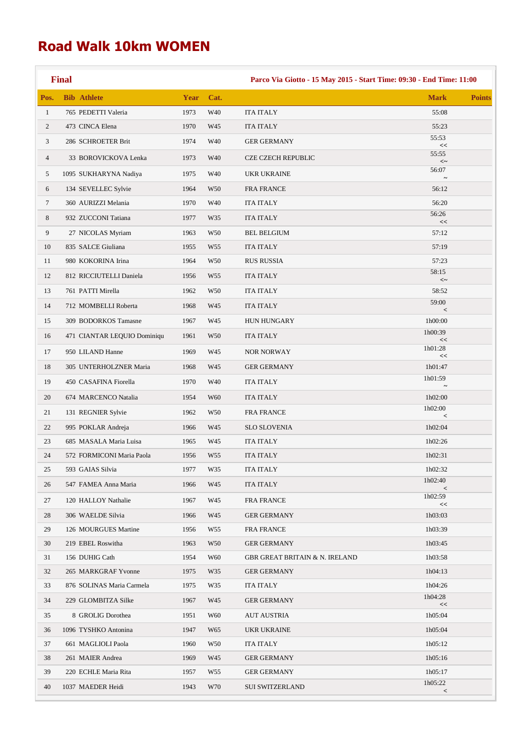## **Road Walk 10km WOMEN**

 $\mathcal{L}_{\mathcal{A}}$ 

|                | <b>Final</b>                |      |                 | Parco Via Giotto - 15 May 2015 - Start Time: 09:30 - End Time: 11:00 |                    |               |  |
|----------------|-----------------------------|------|-----------------|----------------------------------------------------------------------|--------------------|---------------|--|
| Pos.           | <b>Bib Athlete</b>          | Year | Cat.            |                                                                      | <b>Mark</b>        | <b>Points</b> |  |
| $\mathbf{1}$   | 765 PEDETTI Valeria         | 1973 | W40             | <b>ITA ITALY</b>                                                     | 55:08              |               |  |
| $\overline{c}$ | 473 CINCA Elena             | 1970 | W45             | <b>ITA ITALY</b>                                                     | 55:23              |               |  |
| 3              | 286 SCHROETER Brit          | 1974 | W40             | <b>GER GERMANY</b>                                                   | 55:53<br><<        |               |  |
| $\overline{4}$ | 33 BOROVICKOVA Lenka        | 1973 | W40             | <b>CZE CZECH REPUBLIC</b>                                            | 55:55<br>$<\sim$   |               |  |
| 5              | 1095 SUKHARYNA Nadiya       | 1975 | W40             | <b>UKR UKRAINE</b>                                                   | 56:07              |               |  |
| 6              | 134 SEVELLEC Sylvie         | 1964 | W <sub>50</sub> | <b>FRA FRANCE</b>                                                    | 56:12              |               |  |
| $\tau$         | 360 AURIZZI Melania         | 1970 | W40             | ITA ITALY                                                            | 56:20              |               |  |
| 8              | 932 ZUCCONI Tatiana         | 1977 | W35             | <b>ITA ITALY</b>                                                     | 56:26<br><<        |               |  |
| 9              | 27 NICOLAS Myriam           | 1963 | W <sub>50</sub> | <b>BEL BELGIUM</b>                                                   | 57:12              |               |  |
| 10             | 835 SALCE Giuliana          | 1955 | W <sub>55</sub> | <b>ITA ITALY</b>                                                     | 57:19              |               |  |
| 11             | 980 KOKORINA Irina          | 1964 | W <sub>50</sub> | <b>RUS RUSSIA</b>                                                    | 57:23              |               |  |
| 12             | 812 RICCIUTELLI Daniela     | 1956 | W <sub>55</sub> | <b>ITA ITALY</b>                                                     | 58:15<br>$<\sim$   |               |  |
| 13             | 761 PATTI Mirella           | 1962 | W <sub>50</sub> | <b>ITA ITALY</b>                                                     | 58:52              |               |  |
| 14             | 712 MOMBELLI Roberta        | 1968 | W45             | <b>ITA ITALY</b>                                                     | 59:00<br>$\,<$     |               |  |
| 15             | 309 BODORKOS Tamasne        | 1967 | W45             | <b>HUN HUNGARY</b>                                                   | 1h00:00            |               |  |
| 16             | 471 CIANTAR LEQUIO Dominiqu | 1961 | W <sub>50</sub> | ITA ITALY                                                            | 1h00:39<br><<      |               |  |
| 17             | 950 LILAND Hanne            | 1969 | W45             | NOR NORWAY                                                           | 1h01:28<br><<      |               |  |
| 18             | 305 UNTERHOLZNER Maria      | 1968 | W45             | <b>GER GERMANY</b>                                                   | 1h01:47            |               |  |
| 19             | 450 CASAFINA Fiorella       | 1970 | W40             | <b>ITA ITALY</b>                                                     | 1h01:59            |               |  |
| 20             | 674 MARCENCO Natalia        | 1954 | W60             | <b>ITA ITALY</b>                                                     | 1h02:00            |               |  |
| 21             | 131 REGNIER Sylvie          | 1962 | W <sub>50</sub> | <b>FRA FRANCE</b>                                                    | 1h02:00<br>$\,<$   |               |  |
| 22             | 995 POKLAR Andreja          | 1966 | W45             | <b>SLO SLOVENIA</b>                                                  | 1h02:04            |               |  |
| 23             | 685 MASALA Maria Luisa      | 1965 | W45             | <b>ITA ITALY</b>                                                     | 1h02:26            |               |  |
| 24             | 572 FORMICONI Maria Paola   | 1956 | W <sub>55</sub> | ITA ITALY                                                            | 1h02:31            |               |  |
| 25             | 593 GAIAS Silvia            | 1977 | W35             | ITA ITALY                                                            | 1h02:32            |               |  |
| 26             | 547 FAMEA Anna Maria        | 1966 | W45             | <b>ITA ITALY</b>                                                     | 1h02:40<br>$\,<\,$ |               |  |
| 27             | 120 HALLOY Nathalie         | 1967 | W45             | <b>FRA FRANCE</b>                                                    | 1h02:59<br><<      |               |  |
| 28             | 306 WAELDE Silvia           | 1966 | W45             | <b>GER GERMANY</b>                                                   | 1h03:03            |               |  |
| 29             | 126 MOURGUES Martine        | 1956 | W55             | <b>FRA FRANCE</b>                                                    | 1h03:39            |               |  |
| 30             | 219 EBEL Roswitha           | 1963 | W50             | <b>GER GERMANY</b>                                                   | 1h03:45            |               |  |
| 31             | 156 DUHIG Cath              | 1954 | W60             | <b>GBR GREAT BRITAIN &amp; N. IRELAND</b>                            | 1h03:58            |               |  |
| 32             | 265 MARKGRAF Yvonne         | 1975 | W35             | <b>GER GERMANY</b>                                                   | 1h04:13            |               |  |
| 33             | 876 SOLINAS Maria Carmela   | 1975 | W35             | <b>ITA ITALY</b>                                                     | 1h04:26            |               |  |
| 34             | 229 GLOMBITZA Silke         | 1967 | W45             | <b>GER GERMANY</b>                                                   | 1h04:28<br>$<<$    |               |  |
| 35             | 8 GROLIG Dorothea           | 1951 | W60             | <b>AUT AUSTRIA</b>                                                   | 1h05:04            |               |  |
| 36             | 1096 TYSHKO Antonina        | 1947 | W65             | UKR UKRAINE                                                          | 1h05:04            |               |  |
| 37             | 661 MAGLIOLI Paola          | 1960 | W50             | ITA ITALY                                                            | 1h05:12            |               |  |
| 38             | 261 MAIER Andrea            | 1969 | W45             | <b>GER GERMANY</b>                                                   | 1h05:16            |               |  |
| 39             | 220 ECHLE Maria Rita        | 1957 | W55             | <b>GER GERMANY</b>                                                   | 1h05:17<br>1h05:22 |               |  |
| 40             | 1037 MAEDER Heidi           | 1943 | W70             | <b>SUI SWITZERLAND</b>                                               | $\,<\,$            |               |  |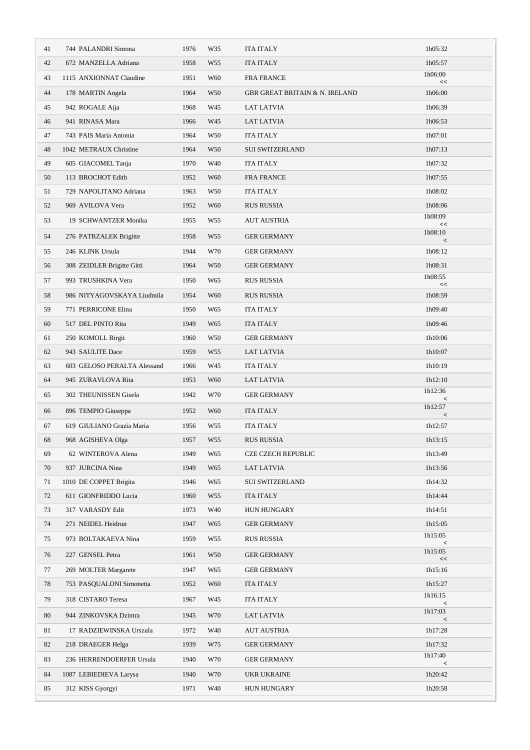| 41 | 744 PALANDRI Simona         | 1976 | W35             | <b>ITA ITALY</b>                          | 1h05:32            |
|----|-----------------------------|------|-----------------|-------------------------------------------|--------------------|
| 42 | 672 MANZELLA Adriana        | 1958 | W <sub>55</sub> | <b>ITA ITALY</b>                          | 1h05:57            |
| 43 | 1115 ANXIONNAT Claudine     | 1951 | W60             | <b>FRA FRANCE</b>                         | 1h06:00<br>$<<$    |
| 44 | 178 MARTIN Angela           | 1964 | W <sub>50</sub> | <b>GBR GREAT BRITAIN &amp; N. IRELAND</b> | 1h06:00            |
| 45 | 942 ROGALE Aija             | 1968 | W45             | <b>LAT LATVIA</b>                         | 1h06:39            |
| 46 | 941 RINASA Mara             | 1966 | W45             | LAT LATVIA                                | 1h06:53            |
| 47 | 743 PAIS Maria Antonia      | 1964 | W50             | <b>ITA ITALY</b>                          | 1h07:01            |
| 48 | 1042 METRAUX Christine      | 1964 | W <sub>50</sub> | <b>SUI SWITZERLAND</b>                    | 1h07:13            |
| 49 | 605 GIACOMEL Tanja          | 1970 | W40             | <b>ITA ITALY</b>                          | 1h07:32            |
| 50 | 113 BROCHOT Edith           | 1952 | W <sub>60</sub> | <b>FRA FRANCE</b>                         | 1h07:55            |
| 51 | 729 NAPOLITANO Adriana      | 1963 | W <sub>50</sub> | <b>ITA ITALY</b>                          | 1h08:02            |
| 52 | 969 AVILOVA Vera            | 1952 | W <sub>60</sub> | <b>RUS RUSSIA</b>                         | 1h08:06            |
| 53 | 19 SCHWANTZER Monika        | 1955 | W <sub>55</sub> | <b>AUT AUSTRIA</b>                        | 1h08:09<br><<      |
| 54 | 276 PATRZALEK Brigitte      | 1958 | W <sub>55</sub> | <b>GER GERMANY</b>                        | 1h08:10<br>$\,<\,$ |
| 55 | 246 KLINK Ursula            | 1944 | W70             | <b>GER GERMANY</b>                        | 1h08:12            |
| 56 | 308 ZEIDLER Brigitte Gitti  | 1964 | W <sub>50</sub> | <b>GER GERMANY</b>                        | 1h08:31            |
| 57 | 993 TRUSHKINA Vera          | 1950 | W65             | <b>RUS RUSSIA</b>                         | 1h08:55<br>$<<$    |
| 58 | 986 NITYAGOVSKAYA Liudmila  | 1954 | W60             | <b>RUS RUSSIA</b>                         | 1h08:59            |
| 59 | 771 PERRICONE Elina         | 1950 | W65             | <b>ITA ITALY</b>                          | 1h09:40            |
| 60 | 517 DEL PINTO Rita          | 1949 | W65             | <b>ITA ITALY</b>                          | 1h09:46            |
| 61 | 250 KOMOLL Birgit           | 1960 | W <sub>50</sub> | <b>GER GERMANY</b>                        | 1h10:06            |
| 62 | 943 SAULITE Dace            | 1959 | W <sub>55</sub> | <b>LAT LATVIA</b>                         | 1h10:07            |
| 63 | 603 GELOSO PERALTA Alessand | 1966 | W45             | <b>ITA ITALY</b>                          | 1h10:19            |
| 64 | 945 ZURAVLOVA Rita          | 1953 | W60             | LAT LATVIA                                | 1h12:10            |
| 65 | 302 THEUNISSEN Gisela       | 1942 | W70             | <b>GER GERMANY</b>                        | 1h12:36<br>$\,<$   |
| 66 | 896 TEMPIO Giuseppa         | 1952 | W <sub>60</sub> | <b>ITA ITALY</b>                          | 1h12:57<br>$\,<$   |
| 67 | 619 GIULIANO Grazia Maria   | 1956 | W <sub>55</sub> | <b>ITA ITALY</b>                          | 1h12:57            |
| 68 | 968 AGISHEVA Olga           | 1957 | W55             | RUS RUSSIA                                | 1h13:15            |
| 69 | 62 WINTEROVA Alena          | 1949 | W65             | CZE CZECH REPUBLIC                        | 1h13:49            |
| 70 | 937 JURCINA Nina            | 1949 | W <sub>65</sub> | <b>LAT LATVIA</b>                         | 1h13:56            |
| 71 | 1010 DE COPPET Brigita      | 1946 | W65             | <b>SUI SWITZERLAND</b>                    | 1h14:32            |
| 72 | 611 GIONFRIDDO Lucia        | 1960 | W <sub>55</sub> | <b>ITA ITALY</b>                          | 1h14:44            |
| 73 | 317 VARASDY Edit            | 1973 | W40             | <b>HUN HUNGARY</b>                        | 1h14:51            |
| 74 | 271 NEIDEL Heidrun          | 1947 | W65             | <b>GER GERMANY</b>                        | 1h15:05            |
| 75 | 973 BOLTAKAEVA Nina         | 1959 | W55             | <b>RUS RUSSIA</b>                         | 1h15:05<br>$\,<$   |
| 76 | 227 GENSEL Petra            | 1961 | W <sub>50</sub> | <b>GER GERMANY</b>                        | 1h15:05<br><<      |
| 77 | 269 MOLTER Margarete        | 1947 | W65             | <b>GER GERMANY</b>                        | 1h15:16            |
| 78 | 753 PASQUALONI Simonetta    | 1952 | W60             | <b>ITA ITALY</b>                          | 1h15:27            |
| 79 | 318 CISTARO Teresa          | 1967 | W45             | ITA ITALY                                 | 1h16:15<br>$\,<\,$ |
| 80 | 944 ZINKOVSKA Dzintra       | 1945 | W70             | LAT LATVIA                                | 1h17:03<br>$\,<$   |
| 81 | 17 RADZIEWINSKA Urszula     | 1972 | W40             | <b>AUT AUSTRIA</b>                        | 1h17:28            |
| 82 | 218 DRAEGER Helga           | 1939 | W75             | <b>GER GERMANY</b>                        | 1h17:32            |
| 83 | 236 HERRENDOERFER Ursula    | 1940 | W70             | <b>GER GERMANY</b>                        | 1h17:40<br>$\,<$   |
| 84 | 1087 LEBIEDIEVA Larysa      | 1940 | W70             | UKR UKRAINE                               | 1h20:42            |
| 85 | 312 KISS Gyorgyi            | 1971 | W40             | HUN HUNGARY                               | 1h20:58            |
|    |                             |      |                 |                                           |                    |